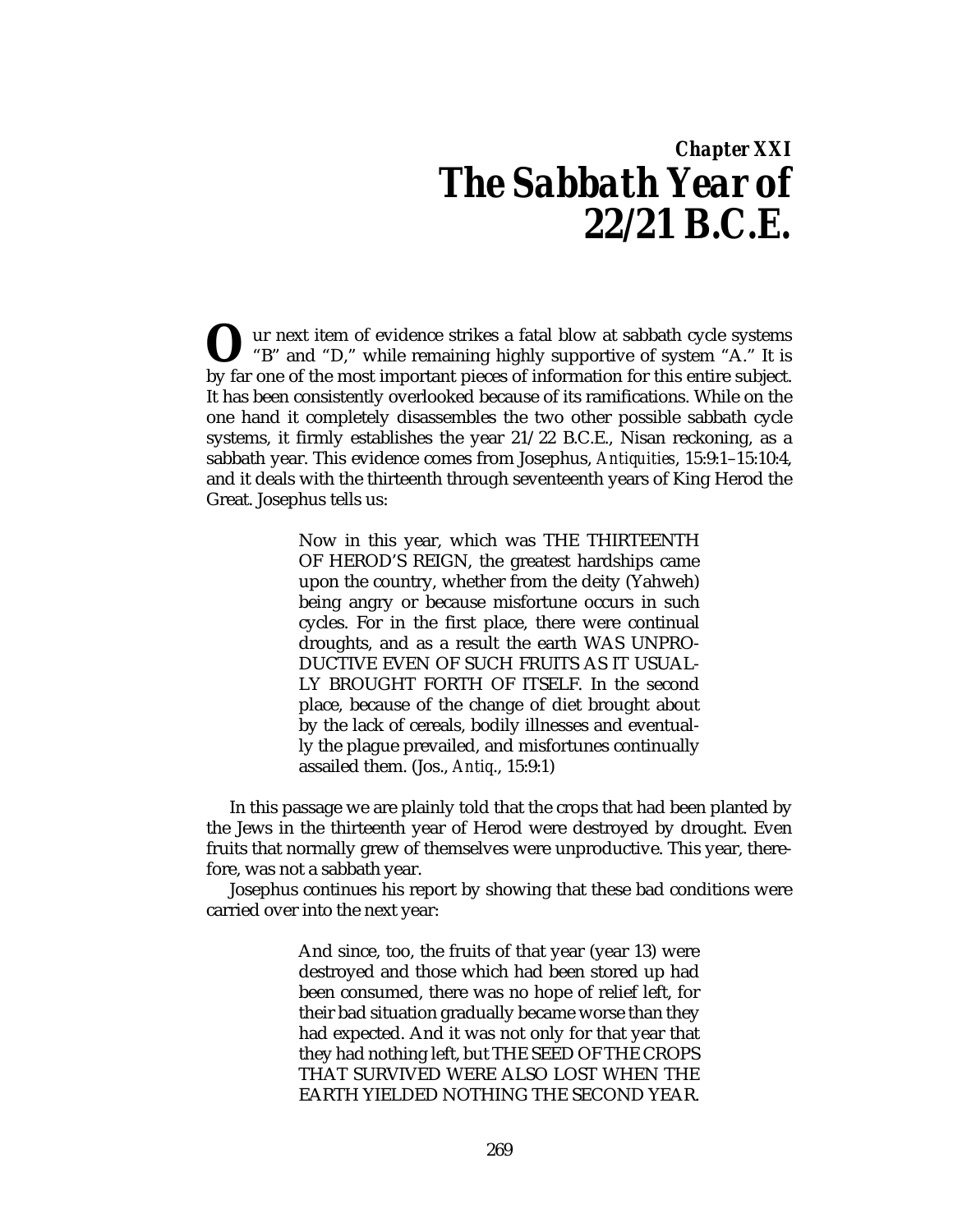# *Chapter XXI The Sabbath Year of 22/21 B.C.E.*

ur next item of evidence strikes a fatal blow at sabbath cycle systems **O** ur next item of evidence strikes a fatal blow at sabbath cycle systems "B" and "D," while remaining highly supportive of system "A." It is by far one of the most important pieces of information for this entire subject. It has been consistently overlooked because of its ramifications. While on the one hand it completely disassembles the two other possible sabbath cycle systems, it firmly establishes the year 21/22 B.C.E., Nisan reckoning, as a sabbath year. This evidence comes from Josephus, *Antiquities*, 15:9:1–15:10:4, and it deals with the thirteenth through seventeenth years of King Herod the Great. Josephus tells us:

> Now in this year, which was THE THIRTEENTH OF HEROD'S REIGN, the greatest hardships came upon the country, whether from the deity (Yahweh) being angry or because misfortune occurs in such cycles. For in the first place, there were continual droughts, and as a result the earth WAS UNPRO-DUCTIVE EVEN OF SUCH FRUITS AS IT USUAL-LY BROUGHT FORTH OF ITSELF. In the second place, because of the change of diet brought about by the lack of cereals, bodily illnesses and eventually the plague prevailed, and misfortunes continually assailed them. (Jos., *Antiq*., 15:9:1)

In this passage we are plainly told that the crops that had been planted by the Jews in the thirteenth year of Herod were destroyed by drought. Even fruits that normally grew of themselves were unproductive. This year, therefore, was not a sabbath year.

Josephus continues his report by showing that these bad conditions were carried over into the next year:

> And since, too, the fruits of that year (year 13) were destroyed and those which had been stored up had been consumed, there was no hope of relief left, for their bad situation gradually became worse than they had expected. And it was not only for that year that they had nothing left, but THE SEED OF THE CROPS THAT SURVIVED WERE ALSO LOST WHEN THE EARTH YIELDED NOTHING THE SECOND YEAR.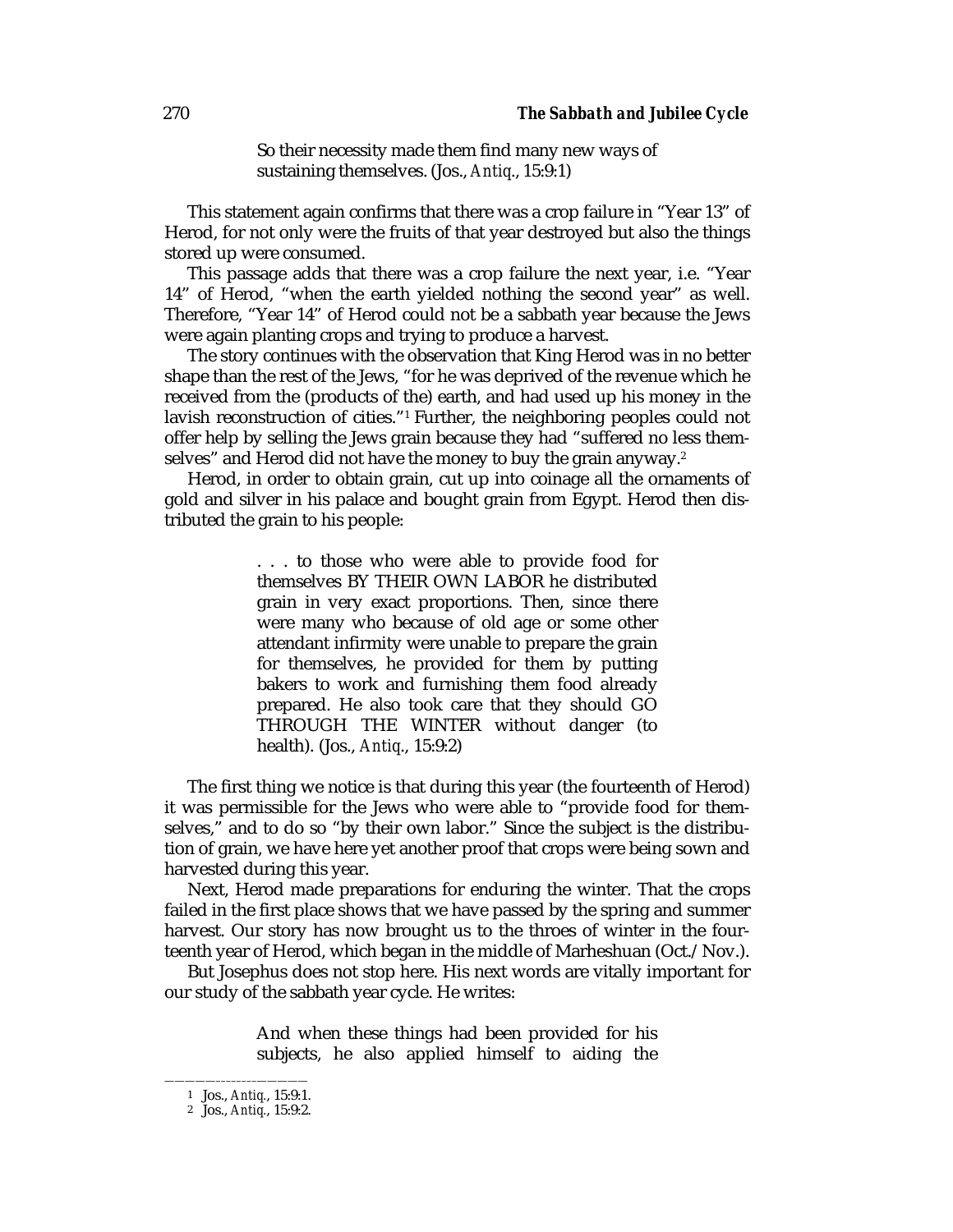So their necessity made them find many new ways of sustaining themselves. (Jos., *Antiq*., 15:9:1)

This statement again confirms that there was a crop failure in "Year 13" of Herod, for not only were the fruits of that year destroyed but also the things stored up were consumed.

This passage adds that there was a crop failure the next year, i.e. "Year 14" of Herod, "when the earth yielded nothing the second year" as well. Therefore, "Year 14" of Herod could not be a sabbath year because the Jews were again planting crops and trying to produce a harvest.

The story continues with the observation that King Herod was in no better shape than the rest of the Jews, "for he was deprived of the revenue which he received from the (products of the) earth, and had used up his money in the lavish reconstruction of cities."1 Further, the neighboring peoples could not offer help by selling the Jews grain because they had "suffered no less themselves" and Herod did not have the money to buy the grain anyway.<sup>2</sup>

Herod, in order to obtain grain, cut up into coinage all the ornaments of gold and silver in his palace and bought grain from Egypt. Herod then distributed the grain to his people:

> . . . to those who were able to provide food for themselves BY THEIR OWN LABOR he distributed grain in very exact proportions. Then, since there were many who because of old age or some other attendant infirmity were unable to prepare the grain for themselves, he provided for them by putting bakers to work and furnishing them food already prepared. He also took care that they should GO THROUGH THE WINTER without danger (to health). (Jos., *Antiq*., 15:9:2)

The first thing we notice is that during this year (the fourteenth of Herod) it was permissible for the Jews who were able to "provide food for themselves," and to do so "by their own labor." Since the subject is the distribution of grain, we have here yet another proof that crops were being sown and harvested during this year.

Next, Herod made preparations for enduring the winter. That the crops failed in the first place shows that we have passed by the spring and summer harvest. Our story has now brought us to the throes of winter in the fourteenth year of Herod, which began in the middle of Marheshuan (Oct./Nov.).

But Josephus does not stop here. His next words are vitally important for our study of the sabbath year cycle. He writes:

> And when these things had been provided for his subjects, he also applied himself to aiding the

<sup>—————––––––––—————</sup> 1 Jos., *Antiq.*, 15:9:1.

<sup>2</sup> Jos., *Antiq.*, 15:9:2.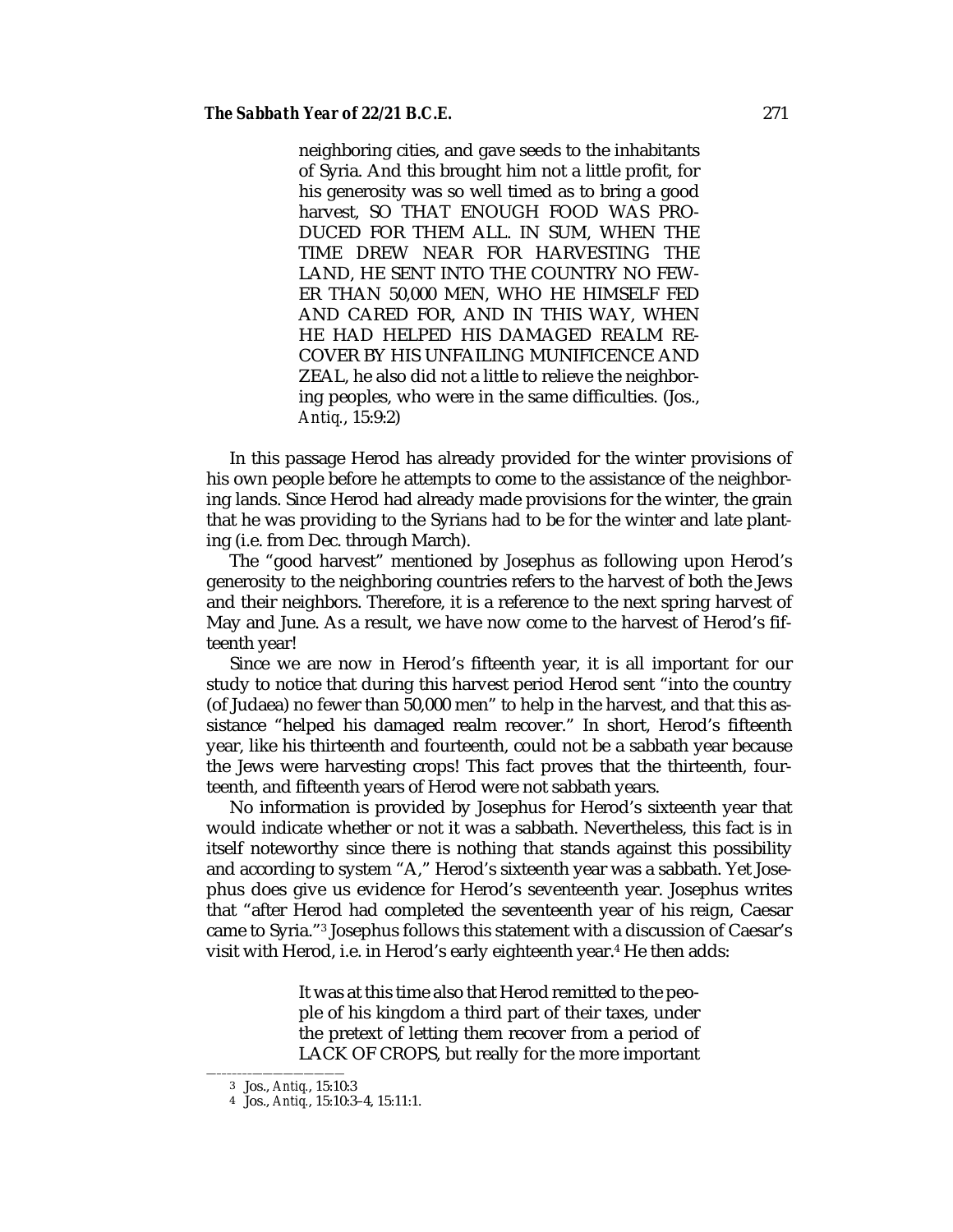neighboring cities, and gave seeds to the inhabitants of Syria. And this brought him not a little profit, for his generosity was so well timed as to bring a good harvest, SO THAT ENOUGH FOOD WAS PRO-DUCED FOR THEM ALL. IN SUM, WHEN THE TIME DREW NEAR FOR HARVESTING THE LAND, HE SENT INTO THE COUNTRY NO FEW-ER THAN 50,000 MEN, WHO HE HIMSELF FED AND CARED FOR, AND IN THIS WAY, WHEN HE HAD HELPED HIS DAMAGED REALM RE-COVER BY HIS UNFAILING MUNIFICENCE AND ZEAL, he also did not a little to relieve the neighboring peoples, who were in the same difficulties. (Jos., *Antiq.*, 15:9:2)

In this passage Herod has already provided for the winter provisions of his own people before he attempts to come to the assistance of the neighboring lands. Since Herod had already made provisions for the winter, the grain that he was providing to the Syrians had to be for the winter and late planting (i.e. from Dec. through March).

The "good harvest" mentioned by Josephus as following upon Herod's generosity to the neighboring countries refers to the harvest of both the Jews and their neighbors. Therefore, it is a reference to the next spring harvest of May and June. As a result, we have now come to the harvest of Herod's fifteenth year!

Since we are now in Herod's fifteenth year, it is all important for our study to notice that during this harvest period Herod sent "into the country (of Judaea) no fewer than 50,000 men" to help in the harvest, and that this assistance "helped his damaged realm recover." In short, Herod's fifteenth year, like his thirteenth and fourteenth, could not be a sabbath year because the Jews were harvesting crops! This fact proves that the thirteenth, fourteenth, and fifteenth years of Herod were not sabbath years.

No information is provided by Josephus for Herod's sixteenth year that would indicate whether or not it was a sabbath. Nevertheless, this fact is in itself noteworthy since there is nothing that stands against this possibility and according to system "A," Herod's sixteenth year was a sabbath. Yet Josephus does give us evidence for Herod's seventeenth year. Josephus writes that "after Herod had completed the seventeenth year of his reign, Caesar came to Syria."3 Josephus follows this statement with a discussion of Caesar's visit with Herod, i.e. in Herod's early eighteenth year.<sup>4</sup> He then adds:

> It was at this time also that Herod remitted to the people of his kingdom a third part of their taxes, under the pretext of letting them recover from a period of LACK OF CROPS, but really for the more important

<sup>—–––––––—————————</sup> 3 Jos., *Antiq.*, 15:10:3

<sup>4</sup> Jos., *Antiq.*, 15:10:3–4, 15:11:1.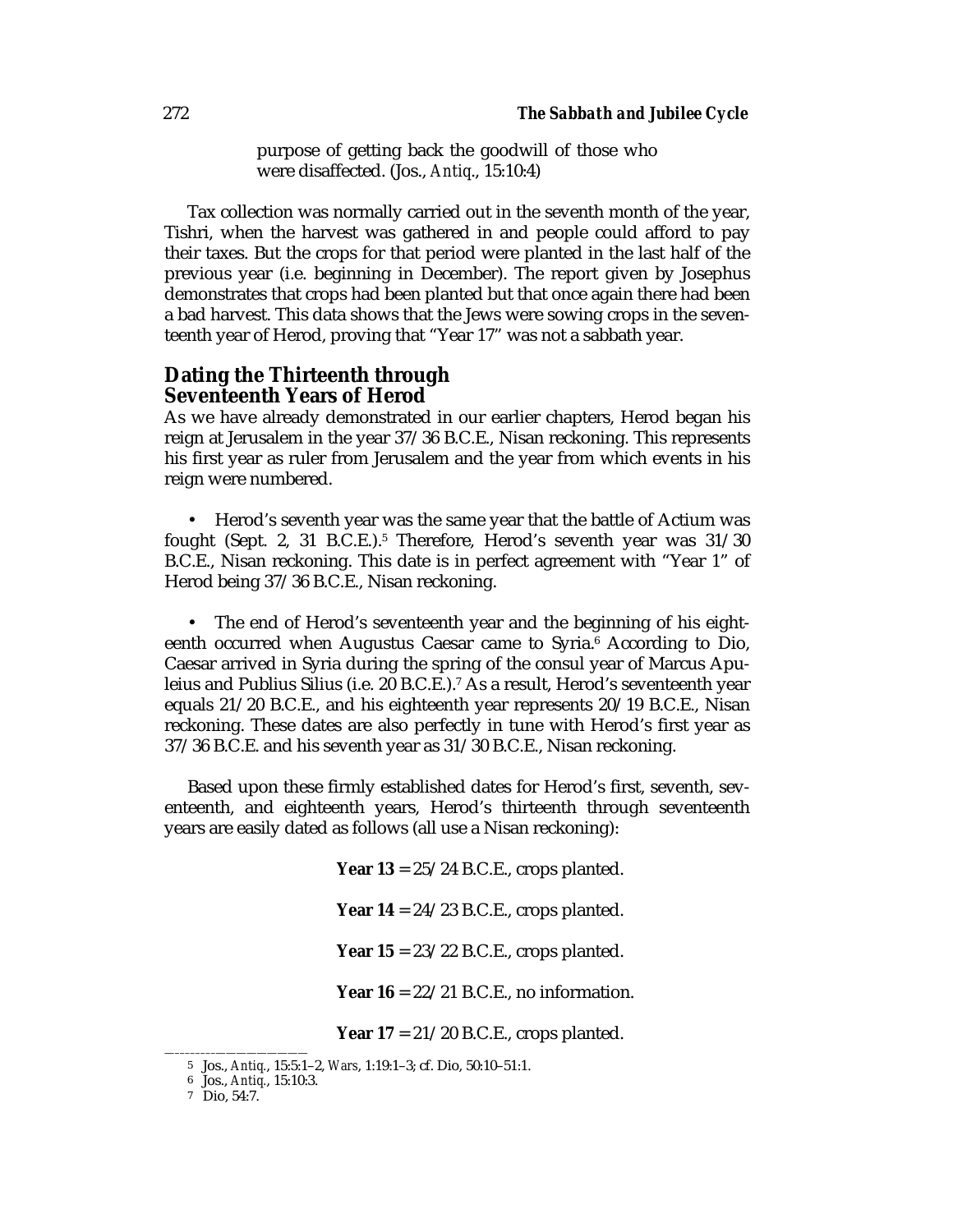purpose of getting back the goodwill of those who were disaffected. (Jos., *Antiq*., 15:10:4)

Tax collection was normally carried out in the seventh month of the year, Tishri, when the harvest was gathered in and people could afford to pay their taxes. But the crops for that period were planted in the last half of the previous year (i.e. beginning in December). The report given by Josephus demonstrates that crops had been planted but that once again there had been a bad harvest. This data shows that the Jews were sowing crops in the seventeenth year of Herod, proving that "Year 17" was not a sabbath year.

## **Dating the Thirteenth through Seventeenth Years of Herod**

As we have already demonstrated in our earlier chapters, Herod began his reign at Jerusalem in the year 37/36 B.C.E., Nisan reckoning. This represents his first year as ruler from Jerusalem and the year from which events in his reign were numbered.

• Herod's seventh year was the same year that the battle of Actium was fought (Sept. 2, 31 B.C.E.).5 Therefore, Herod's seventh year was 31/30 B.C.E., Nisan reckoning. This date is in perfect agreement with "Year 1" of Herod being 37/36 B.C.E., Nisan reckoning.

The end of Herod's seventeenth year and the beginning of his eighteenth occurred when Augustus Caesar came to Syria.<sup>6</sup> According to Dio, Caesar arrived in Syria during the spring of the consul year of Marcus Apuleius and Publius Silius (i.e. 20 B.C.E.).7 As a result, Herod's seventeenth year equals 21/20 B.C.E., and his eighteenth year represents 20/19 B.C.E., Nisan reckoning. These dates are also perfectly in tune with Herod's first year as 37/36 B.C.E. and his seventh year as 31/30 B.C.E., Nisan reckoning.

Based upon these firmly established dates for Herod's first, seventh, seventeenth, and eighteenth years, Herod's thirteenth through seventeenth years are easily dated as follows (all use a Nisan reckoning):

> **Year 13** = 25/24 B.C.E., crops planted. **Year 14** = 24/23 B.C.E., crops planted. **Year 15** = 23/22 B.C.E., crops planted. **Year 16** = 22/21 B.C.E., no information.

**Year 17** = 21/20 B.C.E., crops planted.

<sup>—––––––––—————————</sup> 5 Jos., *Antiq.*, 15:5:1–2, *Wars*, 1:19:1–3; cf. Dio, 50:10–51:1.

<sup>6</sup> Jos., *Antiq.*, 15:10:3.

<sup>7</sup> Dio, 54:7.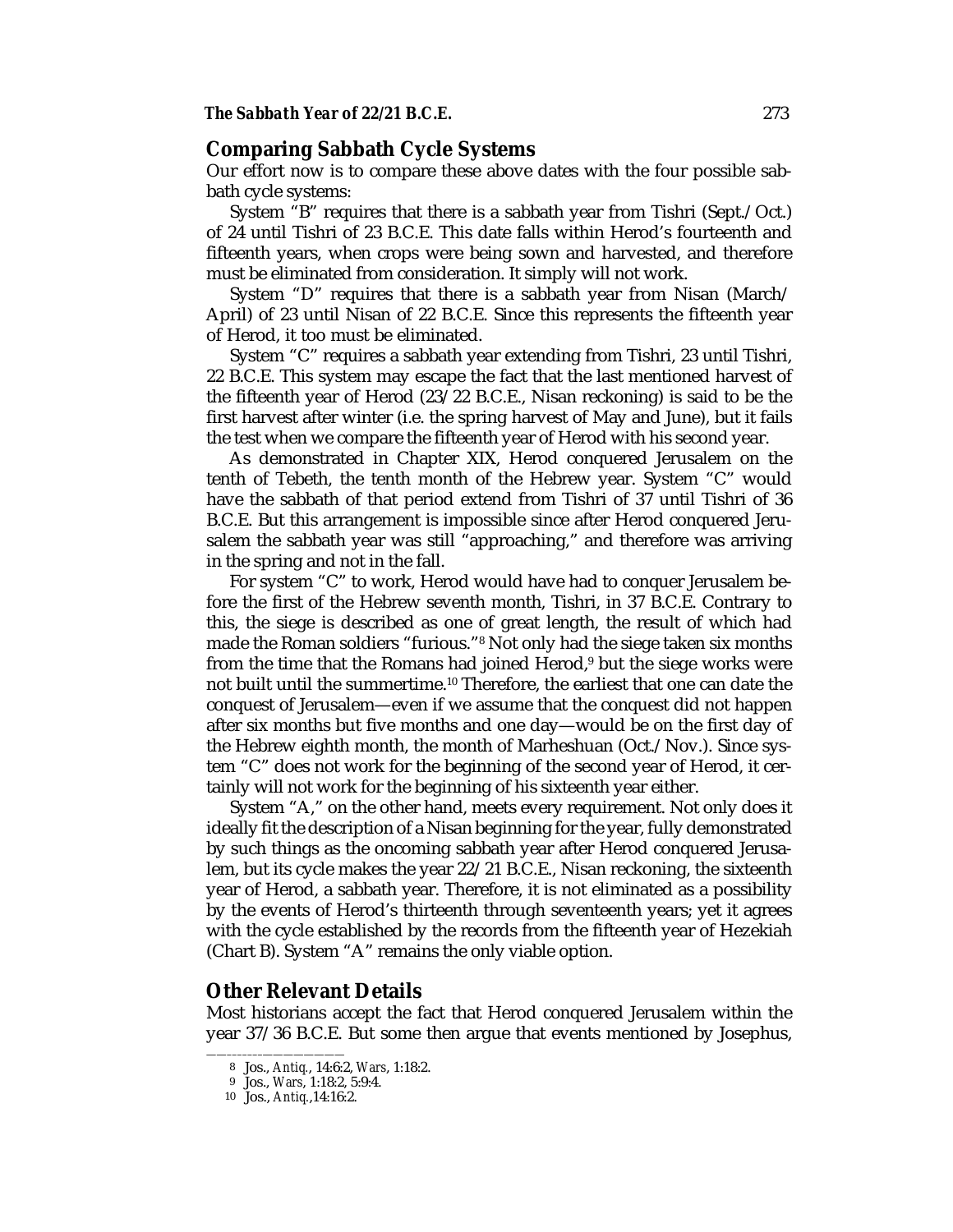### **Comparing Sabbath Cycle Systems**

Our effort now is to compare these above dates with the four possible sabbath cycle systems:

System "B" requires that there is a sabbath year from Tishri (Sept./Oct.) of 24 until Tishri of 23 B.C.E. This date falls within Herod's fourteenth and fifteenth years, when crops were being sown and harvested, and therefore must be eliminated from consideration. It simply will not work.

System "D" requires that there is a sabbath year from Nisan (March/ April) of 23 until Nisan of 22 B.C.E. Since this represents the fifteenth year of Herod, it too must be eliminated.

System "C" requires a sabbath year extending from Tishri, 23 until Tishri, 22 B.C.E. This system may escape the fact that the last mentioned harvest of the fifteenth year of Herod (23/22 B.C.E., Nisan reckoning) is said to be the first harvest after winter (i.e. the spring harvest of May and June), but it fails the test when we compare the fifteenth year of Herod with his second year.

As demonstrated in Chapter XIX, Herod conquered Jerusalem on the tenth of Tebeth, the tenth month of the Hebrew year. System "C" would have the sabbath of that period extend from Tishri of 37 until Tishri of 36 B.C.E. But this arrangement is impossible since after Herod conquered Jerusalem the sabbath year was still "approaching," and therefore was arriving in the spring and not in the fall.

For system "C" to work, Herod would have had to conquer Jerusalem before the first of the Hebrew seventh month, Tishri, in 37 B.C.E. Contrary to this, the siege is described as one of great length, the result of which had made the Roman soldiers "furious."8 Not only had the siege taken six months from the time that the Romans had joined Herod,<sup>9</sup> but the siege works were not built until the summertime.10 Therefore, the earliest that one can date the conquest of Jerusalem—even if we assume that the conquest did not happen after six months but five months and one day—would be on the first day of the Hebrew eighth month, the month of Marheshuan (Oct./Nov.). Since system "C" does not work for the beginning of the second year of Herod, it certainly will not work for the beginning of his sixteenth year either.

System "A," on the other hand, meets every requirement. Not only does it ideally fit the description of a Nisan beginning for the year, fully demonstrated by such things as the oncoming sabbath year after Herod conquered Jerusalem, but its cycle makes the year 22/21 B.C.E., Nisan reckoning, the sixteenth year of Herod, a sabbath year. Therefore, it is not eliminated as a possibility by the events of Herod's thirteenth through seventeenth years; yet it agrees with the cycle established by the records from the fifteenth year of Hezekiah (Chart B). System "A" remains the only viable option.

## **Other Relevant Details**

Most historians accept the fact that Herod conquered Jerusalem within the year 37/36 B.C.E. But some then argue that events mentioned by Josephus,

<sup>——–––––––————————</sup> 8 Jos., *Antiq.*, 14:6:2, *Wars*, 1:18:2.

<sup>9</sup> Jos., *Wars*, 1:18:2, 5:9:4.

<sup>10</sup> Jos., *Antiq.*,14:16:2.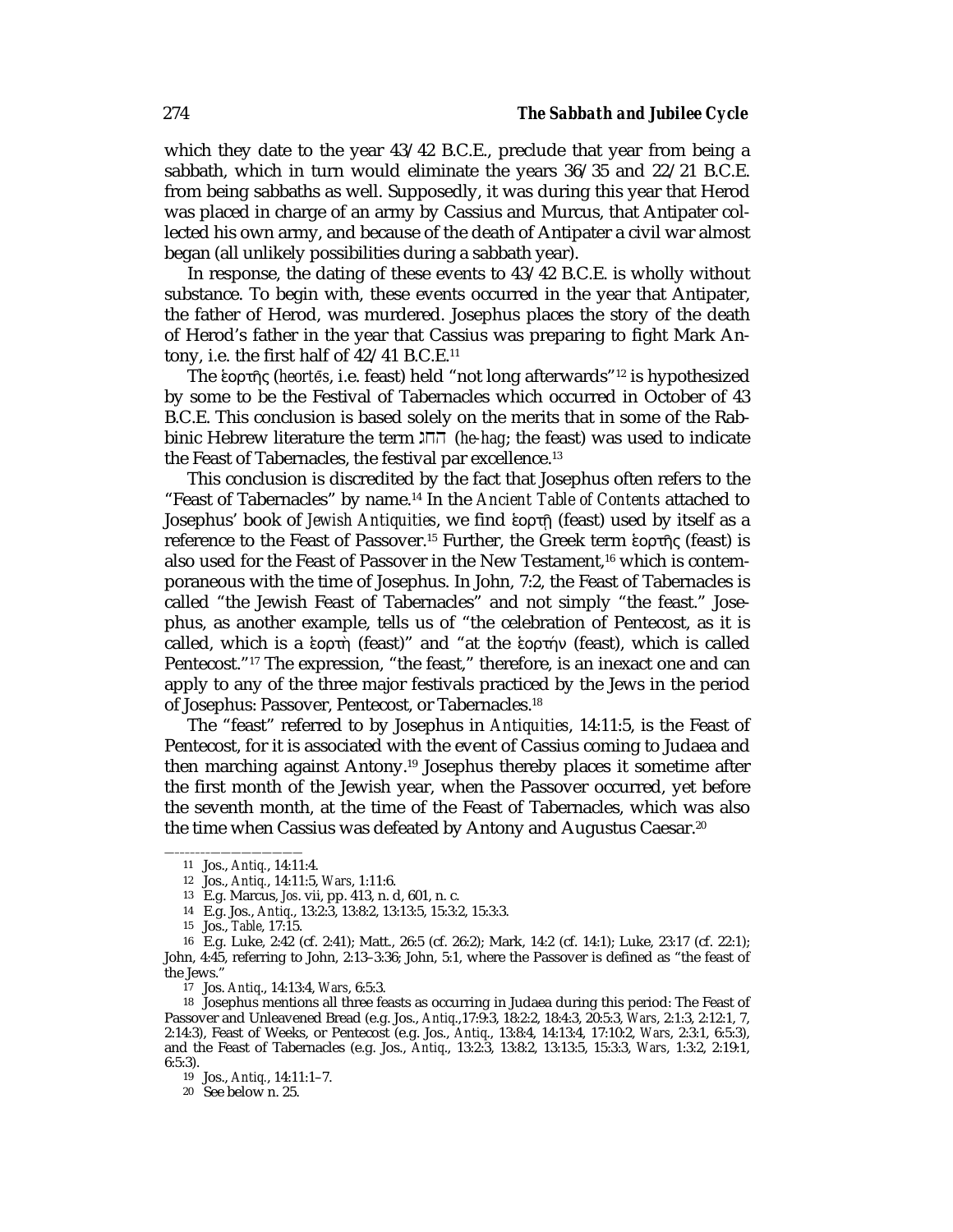which they date to the year 43/42 B.C.E., preclude that year from being a sabbath, which in turn would eliminate the years 36/35 and 22/21 B.C.E. from being sabbaths as well. Supposedly, it was during this year that Herod was placed in charge of an army by Cassius and Murcus, that Antipater collected his own army, and because of the death of Antipater a civil war almost began (all unlikely possibilities during a sabbath year).

In response, the dating of these events to 43/42 B.C.E. is wholly without substance. To begin with, these events occurred in the year that Antipater, the father of Herod, was murdered. Josephus places the story of the death of Herod's father in the year that Cassius was preparing to fight Mark Antony, i.e. the first half of  $42/41$  B.C.E.<sup>11</sup>

The °ορτς (*heorteµ s*, i.e. feast) held "not long afterwards"12 is hypothesized by some to be the Festival of Tabernacles which occurred in October of 43 B.C.E. This conclusion is based solely on the merits that in some of the Rabbinic Hebrew literature the term gjh (*he-hag*; the feast) was used to indicate the Feast of Tabernacles, the festival par excellence.<sup>13</sup>

This conclusion is discredited by the fact that Josephus often refers to the "Feast of Tabernacles" by name.14 In the *Ancient Table of Contents* attached to Josephus' book of *Jewish Antiquities*, we find ενρτή (feast) used by itself as a reference to the Feast of Passover.<sup>15</sup> Further, the Greek term ενοστής (feast) is also used for the Feast of Passover in the New Testament.<sup>16</sup> which is contemporaneous with the time of Josephus. In John, 7:2, the Feast of Tabernacles is called "the Jewish Feast of Tabernacles" and not simply "the feast." Josephus, as another example, tells us of "the celebration of Pentecost, as it is called, which is a ενορτή (feast)" and "at the ενορτήν (feast), which is called Pentecost."<sup>17</sup> The expression, "the feast," therefore, is an inexact one and can apply to any of the three major festivals practiced by the Jews in the period of Josephus: Passover, Pentecost, or Tabernacles.18

The "feast" referred to by Josephus in *Antiquities*, 14:11:5, is the Feast of Pentecost, for it is associated with the event of Cassius coming to Judaea and then marching against Antony.19 Josephus thereby places it sometime after the first month of the Jewish year, when the Passover occurred, yet before the seventh month, at the time of the Feast of Tabernacles, which was also the time when Cassius was defeated by Antony and Augustus Caesar.<sup>20</sup>

<sup>—–––––––—————————</sup> 11 Jos., *Antiq.*, 14:11:4.

<sup>12</sup> Jos., *Antiq.*, 14:11:5, *Wars*, 1:11:6.

<sup>13</sup> E.g. Marcus, *Jos*. vii, pp. 413, n. d, 601, n. c.

<sup>14</sup> E.g. Jos., *Antiq*., 13:2:3, 13:8:2, 13:13:5, 15:3:2, 15:3:3.

<sup>15</sup> Jos., *Table*, 17:15.

<sup>16</sup> E.g. Luke, 2:42 (cf. 2:41); Matt., 26:5 (cf. 26:2); Mark, 14:2 (cf. 14:1); Luke, 23:17 (cf. 22:1); John, 4:45, referring to John, 2:13–3:36; John, 5:1, where the Passover is defined as "the feast of the Jews."

<sup>17</sup> Jos. *Antiq*., 14:13:4, *Wars*, 6:5:3.

<sup>18</sup> Josephus mentions all three feasts as occurring in Judaea during this period: The Feast of Passover and Unleavened Bread (e.g. Jos., *Antiq*.,17:9:3, 18:2:2, 18:4:3, 20:5:3, *Wars*, 2:1:3, 2:12:1, 7, 2:14:3), Feast of Weeks, or Pentecost (e.g. Jos., *Antiq*., 13:8:4, 14:13:4, 17:10:2, *Wars*, 2:3:1, 6:5:3), and the Feast of Tabernacles (e.g. Jos., *Antiq*., 13:2:3, 13:8:2, 13:13:5, 15:3:3, *Wars*, 1:3:2, 2:19:1, 6:5:3).

<sup>19</sup> Jos., *Antiq.*, 14:11:1–7.

<sup>20</sup> See below n. 25.